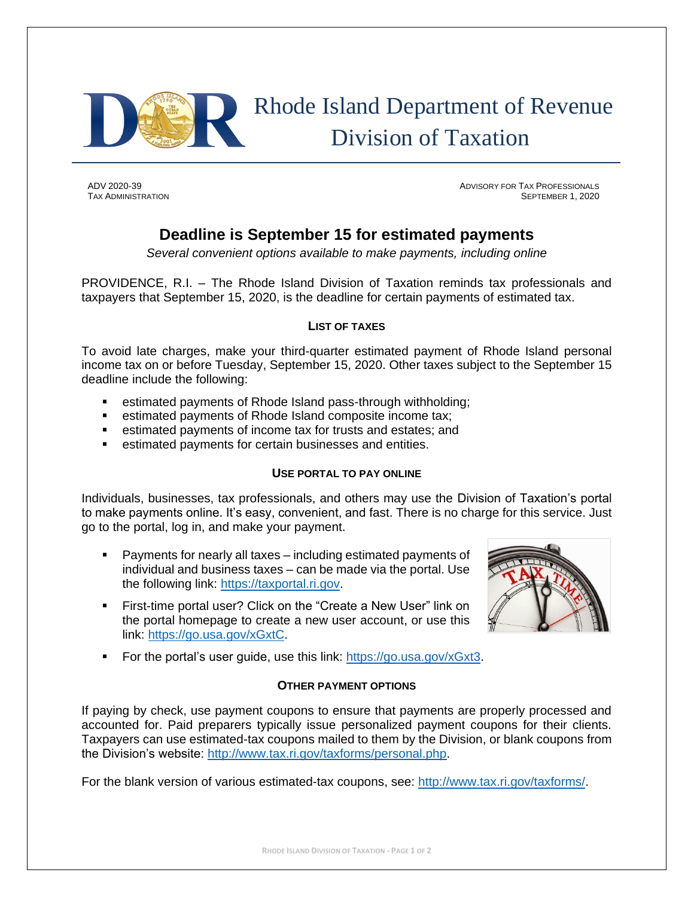

# Rhode Island Department of Revenue Division of Taxation

ADV 2020-39 ADVISORY FOR TAX PROFESSIONALS TAX ADMINISTRATION SEPTEMBER 1, 2020

## **Deadline is September 15 for estimated payments**

*Several convenient options available to make payments, including online*

PROVIDENCE, R.I. – The Rhode Island Division of Taxation reminds tax professionals and taxpayers that September 15, 2020, is the deadline for certain payments of estimated tax.

#### **LIST OF TAXES**

To avoid late charges, make your third-quarter estimated payment of Rhode Island personal income tax on or before Tuesday, September 15, 2020. Other taxes subject to the September 15 deadline include the following:

- estimated payments of Rhode Island pass-through withholding;
- estimated payments of Rhode Island composite income tax;
- estimated payments of income tax for trusts and estates; and
- estimated payments for certain businesses and entities.

### **USE PORTAL TO PAY ONLINE**

Individuals, businesses, tax professionals, and others may use the Division of Taxation's portal to make payments online. It's easy, convenient, and fast. There is no charge for this service. Just go to the portal, log in, and make your payment.

- Payments for nearly all taxes including estimated payments of individual and business taxes – can be made via the portal. Use the following link: [https://taxportal.ri.gov.](https://taxportal.ri.gov/)
- **EXECT:** First-time portal user? Click on the "Create a New User" link on the portal homepage to create a new user account, or use this link: [https://go.usa.gov/xGxtC.](https://go.usa.gov/xGxtC)



■ For the portal's user guide, use this link: [https://go.usa.gov/xGxt3.](https://go.usa.gov/xGxt3)

### **OTHER PAYMENT OPTIONS**

If paying by check, use payment coupons to ensure that payments are properly processed and accounted for. Paid preparers typically issue personalized payment coupons for their clients. Taxpayers can use estimated-tax coupons mailed to them by the Division, or blank coupons from the Division's website: [http://www.tax.ri.gov/taxforms/personal.php.](http://www.tax.ri.gov/taxforms/personal.php)

For the blank version of various estimated-tax coupons, see: [http://www.tax.ri.gov/taxforms/.](http://www.tax.ri.gov/taxforms/)